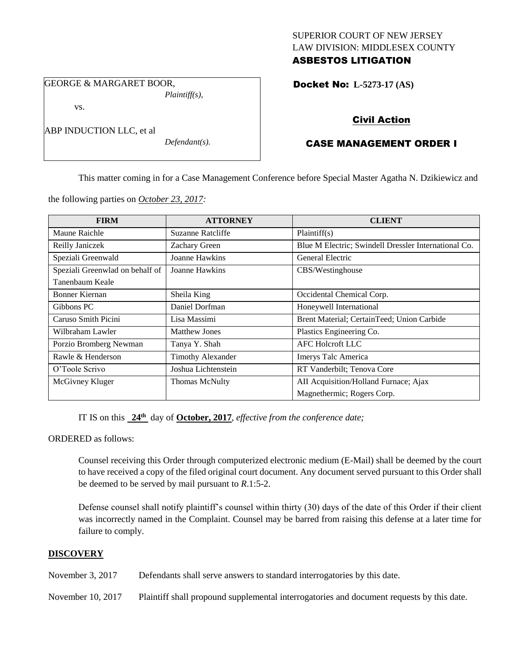## SUPERIOR COURT OF NEW JERSEY LAW DIVISION: MIDDLESEX COUNTY ASBESTOS LITIGATION

GEORGE & MARGARET BOOR, *Plaintiff(s),*

vs.

ABP INDUCTION LLC, et al

*Defendant(s).*

Docket No: **L-5273-17 (AS)** 

# Civil Action

# CASE MANAGEMENT ORDER I

This matter coming in for a Case Management Conference before Special Master Agatha N. Dzikiewicz and

the following parties on *October 23, 2017:*

| <b>FIRM</b>                     | <b>ATTORNEY</b>          | <b>CLIENT</b>                                        |
|---------------------------------|--------------------------|------------------------------------------------------|
| Maune Raichle                   | Suzanne Ratcliffe        | Plaintiff(s)                                         |
| Reilly Janiczek                 | Zachary Green            | Blue M Electric; Swindell Dressler International Co. |
| Speziali Greenwald              | Joanne Hawkins           | General Electric                                     |
| Speziali Greenwlad on behalf of | Joanne Hawkins           | CBS/Westinghouse                                     |
| Tanenbaum Keale                 |                          |                                                      |
| Bonner Kiernan                  | Sheila King              | Occidental Chemical Corp.                            |
| Gibbons PC                      | Daniel Dorfman           | Honeywell International                              |
| Caruso Smith Picini             | Lisa Massimi             | Brent Material; CertainTeed; Union Carbide           |
| Wilbraham Lawler                | <b>Matthew Jones</b>     | Plastics Engineering Co.                             |
| Porzio Bromberg Newman          | Tanya Y. Shah            | AFC Holcroft LLC                                     |
| Rawle & Henderson               | <b>Timothy Alexander</b> | Imerys Talc America                                  |
| O'Toole Scrivo                  | Joshua Lichtenstein      | RT Vanderbilt; Tenova Core                           |
| McGivney Kluger                 | Thomas McNulty           | AII Acquisition/Holland Furnace; Ajax                |
|                                 |                          | Magnethermic; Rogers Corp.                           |

IT IS on this **24th** day of **October, 2017**, *effective from the conference date;*

ORDERED as follows:

Counsel receiving this Order through computerized electronic medium (E-Mail) shall be deemed by the court to have received a copy of the filed original court document. Any document served pursuant to this Order shall be deemed to be served by mail pursuant to *R*.1:5-2.

Defense counsel shall notify plaintiff's counsel within thirty (30) days of the date of this Order if their client was incorrectly named in the Complaint. Counsel may be barred from raising this defense at a later time for failure to comply.

## **DISCOVERY**

November 3, 2017 Defendants shall serve answers to standard interrogatories by this date.

November 10, 2017 Plaintiff shall propound supplemental interrogatories and document requests by this date.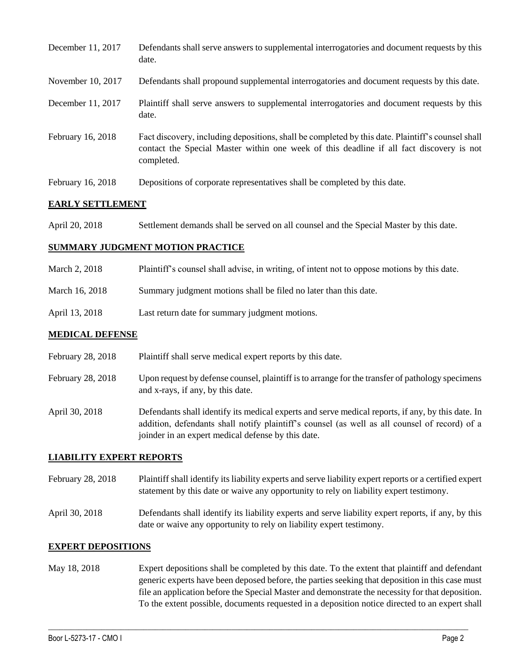| December 11, 2017 | Defendants shall serve answers to supplemental interrogatories and document requests by this<br>date.                                                                                                       |
|-------------------|-------------------------------------------------------------------------------------------------------------------------------------------------------------------------------------------------------------|
| November 10, 2017 | Defendants shall propound supplemental interrogatories and document requests by this date.                                                                                                                  |
| December 11, 2017 | Plaintiff shall serve answers to supplemental interrogatories and document requests by this<br>date.                                                                                                        |
| February 16, 2018 | Fact discovery, including depositions, shall be completed by this date. Plaintiff's counsel shall<br>contact the Special Master within one week of this deadline if all fact discovery is not<br>completed. |
| February 16, 2018 | Depositions of corporate representatives shall be completed by this date.                                                                                                                                   |

### **EARLY SETTLEMENT**

April 20, 2018 Settlement demands shall be served on all counsel and the Special Master by this date.

#### **SUMMARY JUDGMENT MOTION PRACTICE**

- March 2, 2018 Plaintiff's counsel shall advise, in writing, of intent not to oppose motions by this date.
- March 16, 2018 Summary judgment motions shall be filed no later than this date.
- April 13, 2018 Last return date for summary judgment motions.

#### **MEDICAL DEFENSE**

- February 28, 2018 Plaintiff shall serve medical expert reports by this date.
- February 28, 2018 Upon request by defense counsel, plaintiff is to arrange for the transfer of pathology specimens and x-rays, if any, by this date.
- April 30, 2018 Defendants shall identify its medical experts and serve medical reports, if any, by this date. In addition, defendants shall notify plaintiff's counsel (as well as all counsel of record) of a joinder in an expert medical defense by this date.

#### **LIABILITY EXPERT REPORTS**

- February 28, 2018 Plaintiff shall identify its liability experts and serve liability expert reports or a certified expert statement by this date or waive any opportunity to rely on liability expert testimony.
- April 30, 2018 Defendants shall identify its liability experts and serve liability expert reports, if any, by this date or waive any opportunity to rely on liability expert testimony.

#### **EXPERT DEPOSITIONS**

May 18, 2018 Expert depositions shall be completed by this date. To the extent that plaintiff and defendant generic experts have been deposed before, the parties seeking that deposition in this case must file an application before the Special Master and demonstrate the necessity for that deposition. To the extent possible, documents requested in a deposition notice directed to an expert shall

 $\_$  ,  $\_$  ,  $\_$  ,  $\_$  ,  $\_$  ,  $\_$  ,  $\_$  ,  $\_$  ,  $\_$  ,  $\_$  ,  $\_$  ,  $\_$  ,  $\_$  ,  $\_$  ,  $\_$  ,  $\_$  ,  $\_$  ,  $\_$  ,  $\_$  ,  $\_$  ,  $\_$  ,  $\_$  ,  $\_$  ,  $\_$  ,  $\_$  ,  $\_$  ,  $\_$  ,  $\_$  ,  $\_$  ,  $\_$  ,  $\_$  ,  $\_$  ,  $\_$  ,  $\_$  ,  $\_$  ,  $\_$  ,  $\_$  ,